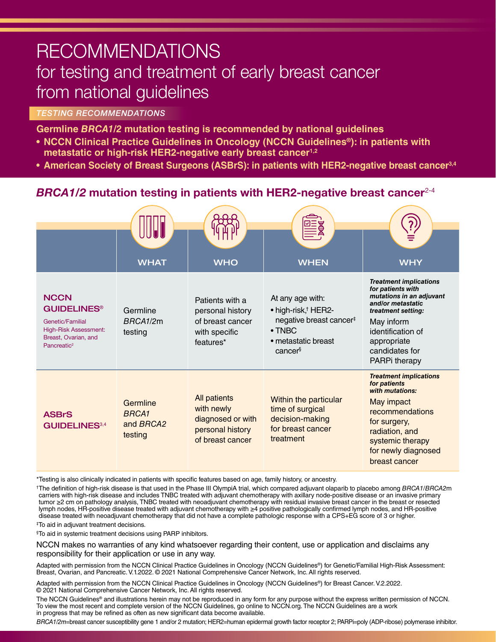# RECOMMENDATIONS for testing and treatment of early breast cancer from national guidelines

## *TESTING RECOMMENDATIONS*

**Germline** *BRCA1/2* **mutation testing is recommended by national guidelines**

- **• NCCN Clinical Practice Guidelines in Oncology (NCCN Guidelines®): in patients with metastatic or high-risk HER2-negative early breast cancer1,2**
- American Society of Breast Surgeons (ASBrS): in patients with HER2-negative breast cancer<sup>3,4</sup>

# *BRCA1/2* mutation testing in patients with HER2-negative breast cancer<sup>2-4</sup>

|                                                                                                                                                     |                                                  |                                                                                         | E<br>B                                                                                                                                         |                                                                                                                                                                                                                |
|-----------------------------------------------------------------------------------------------------------------------------------------------------|--------------------------------------------------|-----------------------------------------------------------------------------------------|------------------------------------------------------------------------------------------------------------------------------------------------|----------------------------------------------------------------------------------------------------------------------------------------------------------------------------------------------------------------|
|                                                                                                                                                     | <b>WHAT</b>                                      | <b>WHO</b>                                                                              | <b>WHEN</b>                                                                                                                                    | <b>WHY</b>                                                                                                                                                                                                     |
| <b>NCCN</b><br><b>GUIDELINES<sup>®</sup></b><br>Genetic/Familial<br><b>High-Risk Assessment:</b><br>Breast, Ovarian, and<br>Pancreatic <sup>2</sup> | Germline<br>BRCA1/2m<br>testing                  | Patients with a<br>personal history<br>of breast cancer<br>with specific<br>features*   | At any age with:<br>• high-risk, <sup>†</sup> HER2-<br>negative breast cancer <sup>#</sup><br>$\bullet$ TNBC<br>• metastatic breast<br>cancers | <b>Treatment implications</b><br>for patients with<br>mutations in an adjuvant<br>and/or metastatic<br>treatment setting:<br>May inform<br>identification of<br>appropriate<br>candidates for<br>PARPi therapy |
| <b>ASBrS</b><br><b>GUIDELINES</b> 3,4                                                                                                               | Germline<br><b>BRCA1</b><br>and BRCA2<br>testing | All patients<br>with newly<br>diagnosed or with<br>personal history<br>of breast cancer | Within the particular<br>time of surgical<br>decision-making<br>for breast cancer<br>treatment                                                 | <b>Treatment implications</b><br>for patients<br>with mutations:<br>May impact<br>recommendations<br>for surgery,<br>radiation, and<br>systemic therapy<br>for newly diagnosed<br>breast cancer                |

\*Testing is also clinically indicated in patients with specific features based on age, family history, or ancestry.

†The definition of high-risk disease is that used in the Phase III OlympiA trial, which compared adjuvant olaparib to placebo among *BRCA1/BRCA2*m carriers with high-risk disease and includes TNBC treated with adjuvant chemotherapy with axillary node-positive disease or an invasive primary tumor ≥2 cm on pathology analysis, TNBC treated with neoadjuvant chemotherapy with residual invasive breast cancer in the breast or resected lymph nodes, HR-positive disease treated with adjuvant chemotherapy with ≥4 positive pathologically confirmed lymph nodes, and HR-positive disease treated with neoadjuvant chemotherapy that did not have a complete pathologic response with a CPS+EG score of 3 or higher.

‡ To aid in adjuvant treatment decisions.

§ To aid in systemic treatment decisions using PARP inhibitors.

NCCN makes no warranties of any kind whatsoever regarding their content, use or application and disclaims any responsibility for their application or use in any way.

Adapted with permission from the NCCN Clinical Practice Guidelines in Oncology (NCCN Guidelines®) for Genetic/Familial High-Risk Assessment: Breast, Ovarian, and Pancreatic. V.1.2022. © 2021 National Comprehensive Cancer Network, Inc. All rights reserved.

Adapted with permission from the NCCN Clinical Practice Guidelines in Oncology (NCCN Guidelines®) for Breast Cancer. V.2.2022. © 2021 National Comprehensive Cancer Network, Inc. All rights reserved.

The NCCN Guidelines® and illustrations herein may not be reproduced in any form for any purpose without the express written permission of NCCN. To view the most recent and complete version of the NCCN Guidelines, go online to NCCN.org. The NCCN Guidelines are a work in progress that may be refined as often as new significant data become available.

*BRCA1/2m*=breast cancer susceptibility gene 1 and/or 2 mutation; HER2=human epidermal growth factor receptor 2; PARPi=poly (ADP-ribose) polymerase inhibitor.